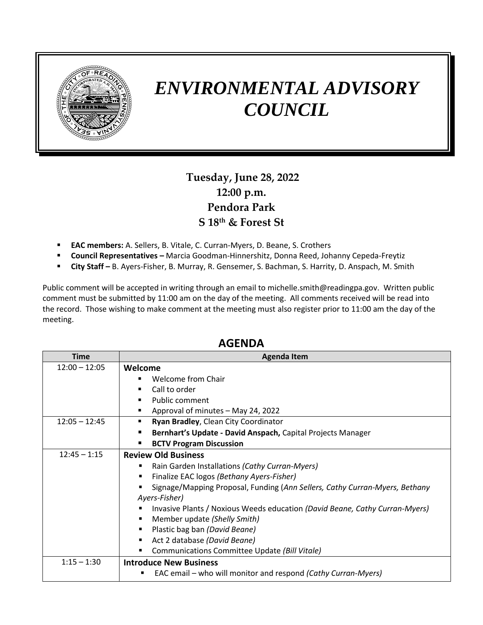

## *ENVIRONMENTAL ADVISORY COUNCIL*

## **Tuesday, June 28, 2022 12:00 p.m. Pendora Park S 18th & Forest St**

- **EAC members:** A. Sellers, B. Vitale, C. Curran-Myers, D. Beane, S. Crothers
- **Council Representatives –** Marcia Goodman-Hinnershitz, Donna Reed, Johanny Cepeda-Freytiz
- **City Staff –** B. Ayers-Fisher, B. Murray, R. Gensemer, S. Bachman, S. Harrity, D. Anspach, M. Smith

Public comment will be accepted in writing through an email to michelle.smith@readingpa.gov. Written public comment must be submitted by 11:00 am on the day of the meeting. All comments received will be read into the record. Those wishing to make comment at the meeting must also register prior to 11:00 am the day of the meeting.

| Time            | <b>Agenda Item</b>                                                          |
|-----------------|-----------------------------------------------------------------------------|
| $12:00 - 12:05$ | Welcome                                                                     |
|                 | Welcome from Chair                                                          |
|                 | Call to order                                                               |
|                 | Public comment                                                              |
|                 | Approval of minutes - May 24, 2022                                          |
| $12:05 - 12:45$ | Ryan Bradley, Clean City Coordinator                                        |
|                 | Bernhart's Update - David Anspach, Capital Projects Manager                 |
|                 | <b>BCTV Program Discussion</b><br>٠                                         |
| $12:45 - 1:15$  | <b>Review Old Business</b>                                                  |
|                 | Rain Garden Installations (Cathy Curran-Myers)                              |
|                 | Finalize EAC logos (Bethany Ayers-Fisher)                                   |
|                 | Signage/Mapping Proposal, Funding (Ann Sellers, Cathy Curran-Myers, Bethany |
|                 | Ayers-Fisher)                                                               |
|                 | Invasive Plants / Noxious Weeds education (David Beane, Cathy Curran-Myers) |
|                 | Member update (Shelly Smith)<br>٠                                           |
|                 | Plastic bag ban (David Beane)<br>٠                                          |
|                 | Act 2 database (David Beane)                                                |
|                 | Communications Committee Update (Bill Vitale)                               |
| $1:15 - 1:30$   | <b>Introduce New Business</b>                                               |
|                 | EAC email – who will monitor and respond (Cathy Curran-Myers)<br>٠          |

## **AGENDA**